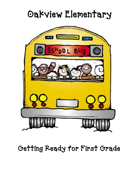# Oakview Elementary



Getting Ready for First Grade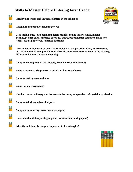### **Skills to Master Before Entering First Grade**



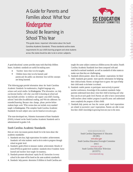# A Guide for Parents and Families about What Your **Kindergartner** Should Be learning in School This Year

This guide shares important information about the South Carolina Academic Standards. These standards outline state requirements for your child'slearning program and what students across the state should be able to do in certain subjects.

A good educational system provides many tools that help children learn. Academic standards are useful for making sure:

- Teachers know what is to be taught;
- Children know what is to be learned; and parents and the public can determine how well the concepts are being learned.

The following pages provide information about the South Carolina Academic Standards for mathematics, English language arts, science and social studies for Kindergarten. The information can help you become familiar with what your child islearning at school and may include activities to reinforce and support your child's learning, selected book titles for additional reading, and Web site addresses for extended learning. Because sites change, please preview before students begin work. This version does not include every standard taught in Kindergarten. The complete South Carolina Academic Standards for each subject area can be found at [www.ed.sc.gov](http://www.ed.sc.gov/).

The state-developed test, Palmetto Assessment of State Standards (PASS), is based on the South Carolina Academic Standards and is administered in grades 3-8.

#### South Carolina Academic Standards

Here are seven key reasons parents should be in the know about the academic standards:

- 1. Standards set clear, high expectations forstudent achievement. Standards tell what students need to do in order to progress through school on grade level.
- 2. Standards guide efforts to measure student achievement. Results of tests(PASS) on grade-level academic standards show if students have learned and teachers have taught for mastery.
- 3. Standards promote educational equity for all. Instruction in every school in the state will be based on the same academic standards.
- 4. Standards help parents determine if children in South Carolina are

taught the same subject content as children across the nation. South Carolina Academic Standards have been compared with and matched to national standards as well as standards of other statesto make sure that they are challenging.

**SC EDUCATION** 

- 5. Standards inform parents about the academic expectations for their child. Standards give parents more specific information for helping their child at home. Parents no longer have to guess the type of help their child needs to do better in school.
- 6. Standards enable parents to participate more actively in parent/ teacher conferences. Knowledge of the academic standards helps parents understand more about what their child islearning and what they can do at each grade level. Parents are able to have conversations with teachers about student progress in specific areas and understand more completely the progress of their child.
- 7. Standards help parents see how the current grade level expectations are related to successive years' expectations. Parents are able to see how their child's knowledge is growing from one year to the next.

#### WEB RESOURCES

South Carolina Department of Education (SCDE): [www.ed.sc.gov](http://www.ed.sc.gov/) South Carolina Education Oversight Committee

(eoc):

[www.eoc.sc.gov](http://www.eoc.sc.gov/) South Carolina Education Television (SCETV): [www.knowitall.org](http://www.knowitall.org/)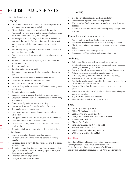# ENGLISH LANGUAGE ARTS

Students should be able to:

#### Reading

- Use pictures as clues to the meaning of a story and predict what will happen next when a story is read aloud
- Discuss that the person telling a story is called a narrator
- Find examples of words used to imitate sounds in books read aloud (for example, woof, meow, crash, boom, buzz, grr)
- Find examples of words that begin with the same sound in books read aloud (for example, Ned, knew, Nick, needed, knit a sweater)
- Match consonant and short-vowel sounds to the appropriate letters
- When retelling a story, know the characters, where the story takes place, and important details
- Explain how some words are important to the meaning of a story or poem
- Respond to a book by drawing a picture, acting out a scene, or writing sentences
- Read books for pleasure
- Know that fantasy stories are not true
- Summarize the main idea and details from nonfiction books read aloud
- Use class discussions to make inferences about a book
- Understand facts from nonfiction books read aloud
- Read books to learn new information
- Understand why books use headings, bold or italic words, graphs, and pictures
- Recognize a table of contents
- Explain the cause of an event described in a book read aloud
- Use pictures and other words in books to understand the meaning of new words
- Change a word by adding  $an-s$  or  $-ing$  ending
- Use new words learned from people, books, or the media
- Read words that are frequently used
- Use rhymes, poems and songs to improve reading and create words orally
- Use appropriate voice level when speaking(not too loud or too soft)
- Match most sounds to the appropriate letters
- Understand that compound words are made up of two or more small words
- Recognize capital and lowercase letters and recall their order in all words<br>
all words<br>
alphabet<br> **be**<br> **classify word**<br> **e**<br>
Make new wo<br>
sounds
	- classify words by their beginning or ending sounds
	- Make new words when talking by adding, deleting or changing sounds
	- Make connections to the world, other stories, and oneself to better understand books
	- Recognize common signs in school, road signs, restaurant and store signs, and logos (for example, exit and stop signs, Walmart, the golden arches of McDonald's)
	- Hold books and turn pages correctly

Distinguish between letters and words

#### Writing

- Use the correct form of capital and lowercase letters
- Understand that a person's name is a proper noun
- Use knowledge of spelling and grammar to edit writing with teacher support
- Write notes, stories, descriptions and rhymes by using drawings, letters, or words

#### Research and oral communication

- Ask how and why questions about a subject of interest
- Understand that information can be found in a variety of sources
- Classify information into categories (for example, living and nonliving things)
- Use complete sentences when speaking
- Understand and follow oral one- and two-step directions

#### Activities

- Talk to your child. answer and ask how and why questions
- Provide materials to create stories with pictures and words—scissors, papers, glue, buttons, glitter, markers, etc.
- Have your child tell you about pictures he draws. Write down the story
- Make up stories about toys, stuffed animals, puppets
- Play "I Spy," looking for letters, words or signs while traveling
- Read or say nursery rhymes with your child
- Play rhyming word games with your child. For example, ask your child to tell you a word that sounds like "cat"
- Have your child explain the cause of an event in a story in his own words
- Read aloud to your child and ask him/her to identify who is telling the story or the narrator
- Sing or say the alphabet with your child
- Allow your child to read and write, Just For Fun!

#### Books

- Barton, Byron. Building a House
- Bishop, Nic. Backyard detective
- Caldone, Paul. The Gingerbread Boy
- Carle, Eric. Brown Bear, Brown Bear, What do You See?
- Freeman, Don. Corduroy
- Gibbons, Gail. Owls
- Henkes, Kevin. Julius, the Baby of the World
- Schneider, Howie. Chery Louie
- Sendak, Maurice. Chicken Soup With Rice
- Willliams, Vera. A Chair for My Mother

#### Web Sites

Carol Hurst's Children's Literature Site – [http://www.carolhurst.com](http://www.carolhurst.com/) Learning Page.com – [http://www.sitesforteachers.com](http://www.sitesforteachers.com/) Surfing the Net with Kids – [http://www.surfnetkids.com](http://www.surfnetkids.com/) United States Department of Education [–](http://www2.ed.gov/parents) <http://www2.ed.gov/parents>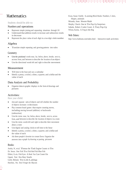#### 

# **Mathematics**

Students should be able to:

#### Numbers and operations

- Represent simple joining and separating situations through 10
- Understand that addition results in increase and subtraction results in decrease
- Represent the place value of each digit in a two-digit whole number

#### Algebra

Translate simple repeating and growing patterns into rules

#### **Geometry**

- Use the positional words near, far, below, above, beside, next to, across from, and between to describe the location of an object
- Use the directional words left and right to describe movement

#### Measurement

- Tell time to the hour and use a calendar
- Identify a penny, a nickel, a dime, a quarter, and a dollar and the value of each

#### Data Analysis and Probability

 Organize data in graphic displays in the form of drawings and pictures

#### Activities:

Have your child:

- Join and separate sets of objects and tell whether the number of objects increases or decreases
- Play common board games that require counting moves, including moving forward (addition) or backwards (subtraction)
- Use the terms near, far, below, above, beside, next to, across from, and between to describe the location of objects in a room
- Use the terms words left and right to describe their movement about a room
- Use digital and analog clocks to tell time to the hour
- Identify a penny, a nickel, a dime, a quarter, and a dollar and the value of each
- Ask three people's favorite ice cream flavor. Organize the answers into a graph by drawing or pasting pictures

#### Books:

Awdry, W., et al. Thomas the Tank Engine Counts to Ten Dr. Seuss. One Fish Two Fish Red Fish Blue Fish Ehlert, Lois. Fish Eyes: A Book You Can Count On Giganti, Paul. How Many Snails Gerth, Melanie. Ten Little Ladybugs Hutchins, Pat. Don't Forget the Bacon

Kwas, Susan Estelle. Learning Block Books: Numbers, <sup>C</sup> olors, Shapes, animals Miranda, Anne. Monster Math Murphy, Chuck. One to Ten Pop-Up Surprises Sabuda, Robert. Cookie Count: A Tasty Pop-Up Wilson, Karma. A Frog in the Bog

#### Web Sites:

<http://www.funbrain.com/index.html> – Interactive math activities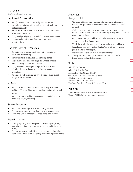## Science

Students should be able to:

#### Inquiry and Process Skills

- Identify observed objects or events by using the senses
- Use tools (including magnifiers and eyedroppers) safely, accurately, and appropriately
- Predict and explain information or events based on observation or previous experience
- Compare objects by using nonstandard units of measurement
- Use appropriate safety procedures when conducting investigations

#### Characteristics of Organisms

- Recognize what organisms need to stay alive (including air, water, food, and shelter)
- Identify examples of organisms and nonliving things
- Match parents with their offspring to show that plants and animals closely resemble their parents
- Compare individual examples of a particular type of plant or animal to determine that there are differences among individuals
- Recognize that all organisms go through stages of growth and change called life cycles

#### My Body

- Identify the distinct structures in the human body that are for walking, holding, touching, seeing, smelling, hearing, talking, and tasting
- Identify the functions of the sensory organs (including the eyes, nose, ears, tongue, and skin)

#### Seasonal changes

- Identify weather changes that occur from day-to-day
- Compare the weather patterns that occur from season to season
- Summarize ways that the seasons affect plants and animals

#### Exploring Matter

- Classify objects by observable properties (including size, shape, magnetic attraction, heaviness, texture, and the ability to float in water)
- Compare the properties of different types of materials (including wood, plastic, metal, cloth, and paper) from which objects are made

#### Activities

#### Have your child:

- Cut pieces of fabric, cork, paper and other such items into similar shapes. With eyes closed, try to identify the different materials based on touch
- Collect leaves and sort them by size, shape, color, and texture. Have your child invent a way to measure the size using an object other than a ruler such as his hand.
- Go to a zoo and ask your child to predict what animals in the same section of the zoo have in common
- Track the weather for several days in a row and ask your child to try to predict the next day's weather. Ask him/her to tell you why he/she predicted what would happen.
- Discover what objects will stick to a kitchen magnet
- Identify an object by the type of material from which it is made (wood, plastic, metal, cloth, or paper)

#### Books:

Aliki. My Five Senses Aliki. My Visit to the Zoo Fowler, allan. What Magnets Can Do Gibbons, Gail. Seasons of Arnold's Apple Tree Hall, Zoe. The Surprise Garden Hickman, Pamela. A Seed Grows Kingfisher Publishing. Animal Babies on the Farm

#### Web Sites:

AAAS Science Netlinks - [www.sciencenetlinks.com](http://www.sciencenetlinks.com/) National Wildlife Federation - [www.nwf.org/kids/](http://www.nwf.org/kids/)